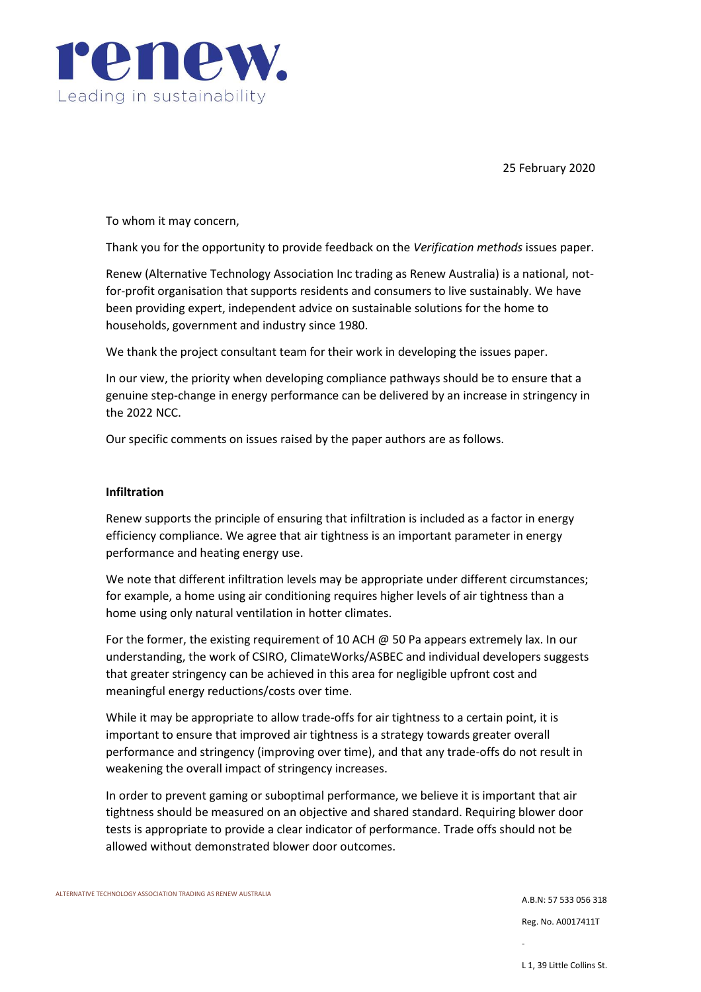

25 February 2020

To whom it may concern,

Thank you for the opportunity to provide feedback on the *Verification methods* issues paper.

Renew (Alternative Technology Association Inc trading as Renew Australia) is a national, notfor-profit organisation that supports residents and consumers to live sustainably. We have been providing expert, independent advice on sustainable solutions for the home to households, government and industry since 1980.

We thank the project consultant team for their work in developing the issues paper.

In our view, the priority when developing compliance pathways should be to ensure that a genuine step-change in energy performance can be delivered by an increase in stringency in the 2022 NCC.

Our specific comments on issues raised by the paper authors are as follows.

## **Infiltration**

Renew supports the principle of ensuring that infiltration is included as a factor in energy efficiency compliance. We agree that air tightness is an important parameter in energy performance and heating energy use.

We note that different infiltration levels may be appropriate under different circumstances; for example, a home using air conditioning requires higher levels of air tightness than a home using only natural ventilation in hotter climates.

For the former, the existing requirement of 10 ACH @ 50 Pa appears extremely lax. In our understanding, the work of CSIRO, ClimateWorks/ASBEC and individual developers suggests that greater stringency can be achieved in this area for negligible upfront cost and meaningful energy reductions/costs over time.

While it may be appropriate to allow trade-offs for air tightness to a certain point, it is important to ensure that improved air tightness is a strategy towards greater overall performance and stringency (improving over time), and that any trade-offs do not result in weakening the overall impact of stringency increases.

In order to prevent gaming or suboptimal performance, we believe it is important that air tightness should be measured on an objective and shared standard. Requiring blower door tests is appropriate to provide a clear indicator of performance. Trade offs should not be allowed without demonstrated blower door outcomes.

ALTERNATIVE TECHNOLOGY ASSOCIATION TRADING AS RENEW AUSTRALIA

A.B.N: 57 533 056 318 Reg. No. A0017411T

-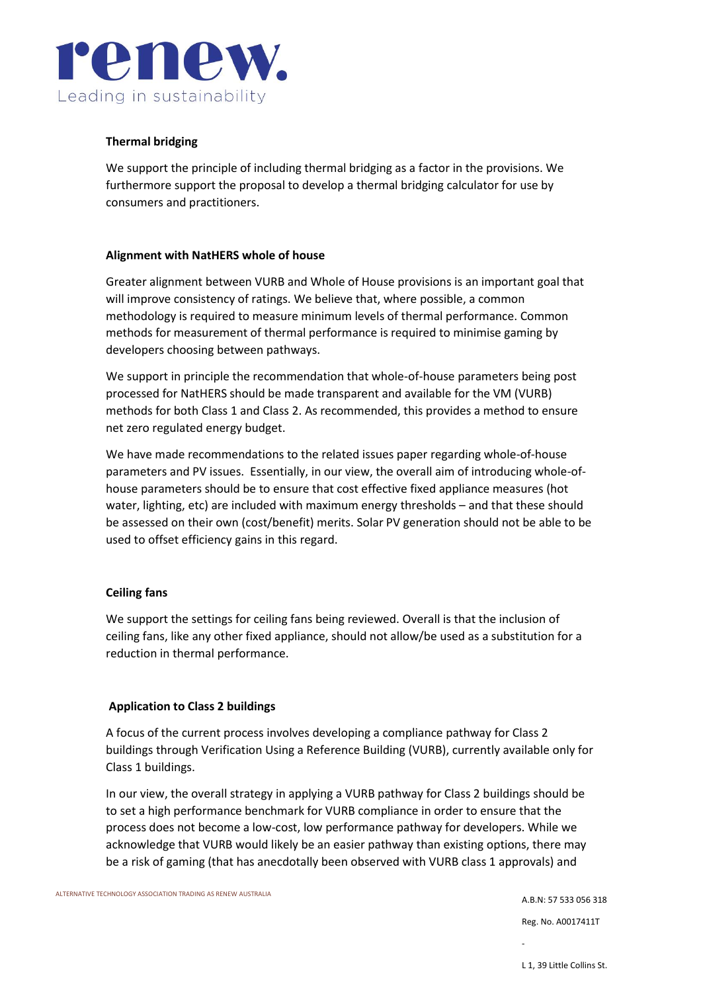

# **Thermal bridging**

We support the principle of including thermal bridging as a factor in the provisions. We furthermore support the proposal to develop a thermal bridging calculator for use by consumers and practitioners.

## **Alignment with NatHERS whole of house**

Greater alignment between VURB and Whole of House provisions is an important goal that will improve consistency of ratings. We believe that, where possible, a common methodology is required to measure minimum levels of thermal performance. Common methods for measurement of thermal performance is required to minimise gaming by developers choosing between pathways.

We support in principle the recommendation that whole-of-house parameters being post processed for NatHERS should be made transparent and available for the VM (VURB) methods for both Class 1 and Class 2. As recommended, this provides a method to ensure net zero regulated energy budget.

We have made recommendations to the related issues paper regarding whole-of-house parameters and PV issues. Essentially, in our view, the overall aim of introducing whole-ofhouse parameters should be to ensure that cost effective fixed appliance measures (hot water, lighting, etc) are included with maximum energy thresholds – and that these should be assessed on their own (cost/benefit) merits. Solar PV generation should not be able to be used to offset efficiency gains in this regard.

## **Ceiling fans**

We support the settings for ceiling fans being reviewed. Overall is that the inclusion of ceiling fans, like any other fixed appliance, should not allow/be used as a substitution for a reduction in thermal performance.

#### **Application to Class 2 buildings**

A focus of the current process involves developing a compliance pathway for Class 2 buildings through Verification Using a Reference Building (VURB), currently available only for Class 1 buildings.

In our view, the overall strategy in applying a VURB pathway for Class 2 buildings should be to set a high performance benchmark for VURB compliance in order to ensure that the process does not become a low-cost, low performance pathway for developers. While we acknowledge that VURB would likely be an easier pathway than existing options, there may be a risk of gaming (that has anecdotally been observed with VURB class 1 approvals) and

A.B.N: 57 533 056 318 Reg. No. A0017411T

-